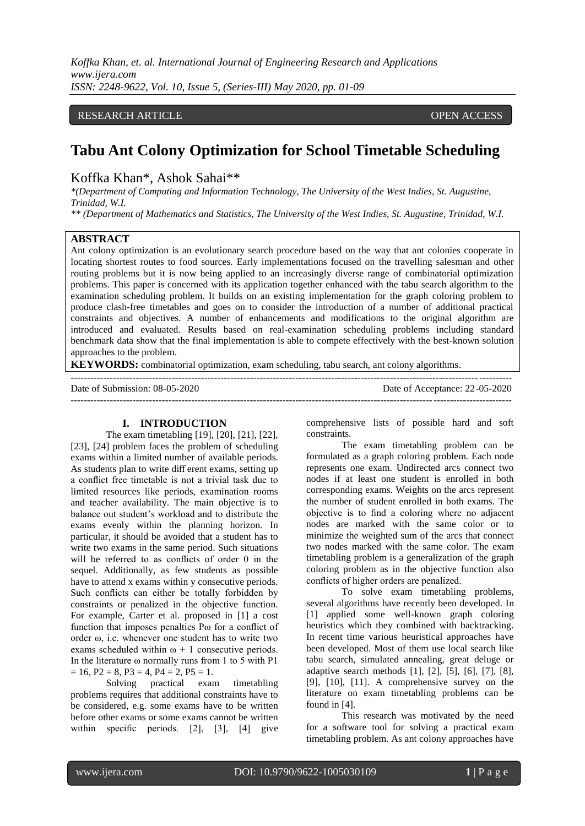*Koffka Khan, et. al. International Journal of Engineering Research and Applications www.ijera.com ISSN: 2248-9622, Vol. 10, Issue 5, (Series-III) May 2020, pp. 01-09*

## RESEARCH ARTICLE **CONTRACT ARTICLE** AND A SERVICE OPEN ACCESS

# **Tabu Ant Colony Optimization for School Timetable Scheduling**

# Koffka Khan\*, Ashok Sahai\*\*

*\*(Department of Computing and Information Technology, The University of the West Indies, St. Augustine, Trinidad, W.I.*

*\*\* (Department of Mathematics and Statistics, The University of the West Indies, St. Augustine, Trinidad, W.I.*

#### **ABSTRACT**

Ant colony optimization is an evolutionary search procedure based on the way that ant colonies cooperate in locating shortest routes to food sources. Early implementations focused on the travelling salesman and other routing problems but it is now being applied to an increasingly diverse range of combinatorial optimization problems. This paper is concerned with its application together enhanced with the tabu search algorithm to the examination scheduling problem. It builds on an existing implementation for the graph coloring problem to produce clash-free timetables and goes on to consider the introduction of a number of additional practical constraints and objectives. A number of enhancements and modifications to the original algorithm are introduced and evaluated. Results based on real-examination scheduling problems including standard benchmark data show that the final implementation is able to compete effectively with the best-known solution approaches to the problem.

---------------------------------------------------------------------------------------------------------------------------------------

**KEYWORDS:** combinatorial optimization, exam scheduling, tabu search, ant colony algorithms.

Date of Submission: 08-05-2020 Date of Acceptance: 22-05-2020

---------------------------------------------------------------------------------------------------------------------------------------

## **I. INTRODUCTION**

The exam timetabling [19], [20], [21], [22], [23], [24] problem faces the problem of scheduling exams within a limited number of available periods. As students plan to write diff erent exams, setting up a conflict free timetable is not a trivial task due to limited resources like periods, examination rooms and teacher availability. The main objective is to balance out student's workload and to distribute the exams evenly within the planning horizon. In particular, it should be avoided that a student has to write two exams in the same period. Such situations will be referred to as conflicts of order 0 in the sequel. Additionally, as few students as possible have to attend x exams within y consecutive periods. Such conflicts can either be totally forbidden by constraints or penalized in the objective function. For example, Carter et al. proposed in [1] a cost function that imposes penalties Pω for a conflict of order ω, i.e. whenever one student has to write two exams scheduled within  $\omega + 1$  consecutive periods. In the literature  $\omega$  normally runs from 1 to 5 with P1  $= 16$ , P2  $= 8$ , P3  $= 4$ , P4  $= 2$ , P5  $= 1$ .

Solving practical exam timetabling problems requires that additional constraints have to be considered, e.g. some exams have to be written before other exams or some exams cannot be written within specific periods. [2], [3], [4] give

comprehensive lists of possible hard and soft constraints.

The exam timetabling problem can be formulated as a graph coloring problem. Each node represents one exam. Undirected arcs connect two nodes if at least one student is enrolled in both corresponding exams. Weights on the arcs represent the number of student enrolled in both exams. The objective is to find a coloring where no adjacent nodes are marked with the same color or to minimize the weighted sum of the arcs that connect two nodes marked with the same color. The exam timetabling problem is a generalization of the graph coloring problem as in the objective function also conflicts of higher orders are penalized.

To solve exam timetabling problems, several algorithms have recently been developed. In [1] applied some well-known graph coloring heuristics which they combined with backtracking. In recent time various heuristical approaches have been developed. Most of them use local search like tabu search, simulated annealing, great deluge or adaptive search methods [1], [2], [5], [6], [7], [8], [9], [10], [11]. A comprehensive survey on the literature on exam timetabling problems can be found in [4].

This research was motivated by the need for a software tool for solving a practical exam timetabling problem. As ant colony approaches have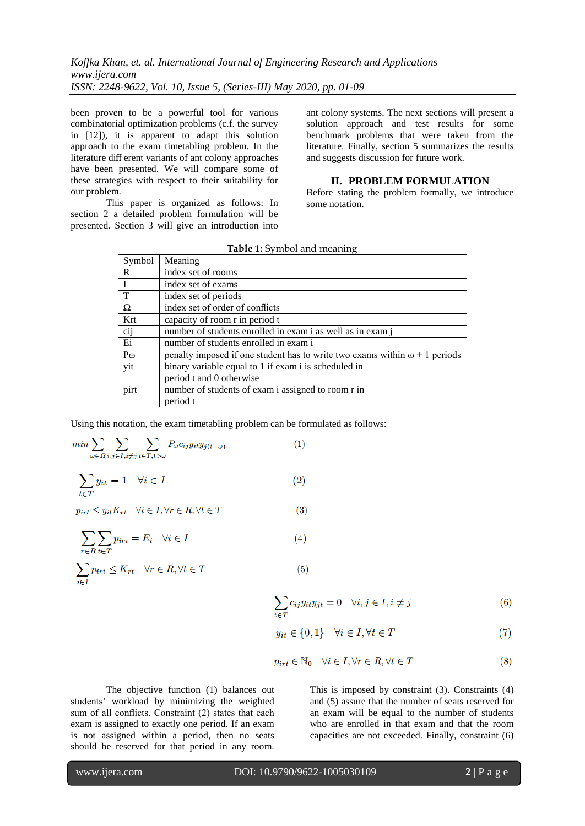been proven to be a powerful tool for various combinatorial optimization problems (c.f. the survey in [12]), it is apparent to adapt this solution approach to the exam timetabling problem. In the literature diff erent variants of ant colony approaches have been presented. We will compare some of these strategies with respect to their suitability for our problem.

This paper is organized as follows: In section 2 a detailed problem formulation will be presented. Section 3 will give an introduction into ant colony systems. The next sections will present a solution approach and test results for some benchmark problems that were taken from the literature. Finally, section 5 summarizes the results and suggests discussion for future work.

## **II. PROBLEM FORMULATION**

Before stating the problem formally, we introduce some notation.

| Symbol    | Meaning                                                                           |
|-----------|-----------------------------------------------------------------------------------|
| R         | index set of rooms                                                                |
|           | index set of exams                                                                |
| T         | index set of periods                                                              |
| $\Omega$  | index set of order of conflicts                                                   |
| Krt       | capacity of room r in period t                                                    |
| cij       | number of students enrolled in exam i as well as in exam j                        |
| Ei        | number of students enrolled in exam i                                             |
| $P\omega$ | penalty imposed if one student has to write two exams within $\omega + 1$ periods |
| yit       | binary variable equal to 1 if exam i is scheduled in                              |
|           | period t and 0 otherwise                                                          |
| pirt      | number of students of exam i assigned to room r in                                |
|           | period t                                                                          |

 $(3)$ 

Using this notation, the exam timetabling problem can be formulated as follows:

$$
\min \sum_{\omega \in \Omega} \sum_{i,j \in I, i \neq j} \sum_{t \in T, t > \omega} P_{\omega} c_{ij} y_{it} y_{j(t-\omega)} \tag{1}
$$

$$
\sum_{t \in T} y_{it} = 1 \quad \forall i \in I \tag{2}
$$

 $p_{irt} \leq y_{it} K_{rt}$   $\forall i \in I, \forall r \in R, \forall t \in T$ 

$$
\sum_{r \in R} \sum_{t \in T} p_{irt} = E_i \quad \forall i \in I
$$
\n<sup>(4)</sup>

$$
\sum_{i \in I} p_{irt} \le K_{rt} \quad \forall r \in R, \forall t \in T \tag{5}
$$

$$
\sum_{t \in T} c_{ij} y_{it} y_{jt} = 0 \quad \forall i, j \in I, i \neq j \tag{6}
$$

$$
y_{it} \in \{0, 1\} \quad \forall i \in I, \forall t \in T \tag{7}
$$

$$
p_{irt} \in \mathbb{N}_0 \quad \forall i \in I, \forall r \in R, \forall t \in T \tag{8}
$$

The objective function (1) balances out students' workload by minimizing the weighted sum of all conflicts. Constraint (2) states that each exam is assigned to exactly one period. If an exam is not assigned within a period, then no seats should be reserved for that period in any room.

This is imposed by constraint (3). Constraints (4) and (5) assure that the number of seats reserved for an exam will be equal to the number of students who are enrolled in that exam and that the room capacities are not exceeded. Finally, constraint (6)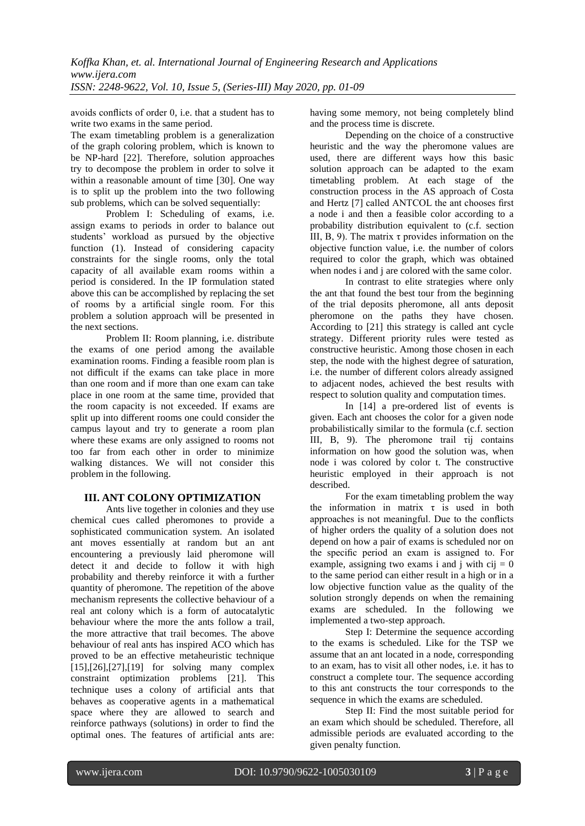avoids conflicts of order 0, i.e. that a student has to write two exams in the same period.

The exam timetabling problem is a generalization of the graph coloring problem, which is known to be NP-hard [\[22\].](#page-7-0) Therefore, solution approaches try to decompose the problem in order to solve it within a reasonable amount of time [\[30\].](#page-7-1) One way is to split up the problem into the two following sub problems, which can be solved sequentially:

Problem I: Scheduling of exams, i.e. assign exams to periods in order to balance out students' workload as pursued by the objective function (1). Instead of considering capacity constraints for the single rooms, only the total capacity of all available exam rooms within a period is considered. In the IP formulation stated above this can be accomplished by replacing the set of rooms by a artificial single room. For this problem a solution approach will be presented in the next sections.

Problem II: Room planning, i.e. distribute the exams of one period among the available examination rooms. Finding a feasible room plan is not difficult if the exams can take place in more than one room and if more than one exam can take place in one room at the same time, provided that the room capacity is not exceeded. If exams are split up into different rooms one could consider the campus layout and try to generate a room plan where these exams are only assigned to rooms not too far from each other in order to minimize walking distances. We will not consider this problem in the following.

## **III. ANT COLONY OPTIMIZATION**

Ants live together in colonies and they use chemical cues called pheromones to provide a sophisticated communication system. An isolated ant moves essentially at random but an ant encountering a previously laid pheromone will detect it and decide to follow it with high probability and thereby reinforce it with a further quantity of pheromone. The repetition of the above mechanism represents the collective behaviour of a real ant colony which is a form of autocatalytic behaviour where the more the ants follow a trail, the more attractive that trail becomes. The above behaviour of real ants has inspired ACO which has proved to be an effective metaheuristic technique [\[15\]](#page-7-2)[,\[26\]](#page-7-3)[,\[27\]](#page-7-4)[,\[19\]](#page-7-5) for solving many complex constraint optimization problems [\[21\].](#page-7-6) This technique uses a colony of artificial ants that behaves as cooperative agents in a mathematical space where they are allowed to search and reinforce pathways (solutions) in order to find the optimal ones. The features of artificial ants are:

having some memory, not being completely blind and the process time is discrete.

Depending on the choice of a constructive heuristic and the way the pheromone values are used, there are different ways how this basic solution approach can be adapted to the exam timetabling problem. At each stage of the construction process in the AS approach of Costa and Hertz [\[7\]](#page-6-0) called ANTCOL the ant chooses first a node i and then a feasible color according to a probability distribution equivalent to (c.f. section III, B, 9). The matrix  $\tau$  provides information on the objective function value, i.e. the number of colors required to color the graph, which was obtained when nodes i and j are colored with the same color.

In contrast to elite strategies where only the ant that found the best tour from the beginning of the trial deposits pheromone, all ants deposit pheromone on the paths they have chosen. According to [\[21\]](#page-7-6) this strategy is called ant cycle strategy. Different priority rules were tested as constructive heuristic. Among those chosen in each step, the node with the highest degree of saturation, i.e. the number of different colors already assigned to adjacent nodes, achieved the best results with respect to solution quality and computation times.

In [\[14\]](#page-7-7) a pre-ordered list of events is given. Each ant chooses the color for a given node probabilistically similar to the formula (c.f. section III, B, 9). The pheromone trail τij contains information on how good the solution was, when node i was colored by color t. The constructive heuristic employed in their approach is not described.

For the exam timetabling problem the way the information in matrix  $\tau$  is used in both approaches is not meaningful. Due to the conflicts of higher orders the quality of a solution does not depend on how a pair of exams is scheduled nor on the specific period an exam is assigned to. For example, assigning two exams i and j with  $cii = 0$ to the same period can either result in a high or in a low objective function value as the quality of the solution strongly depends on when the remaining exams are scheduled. In the following we implemented a two-step approach.

Step I: Determine the sequence according to the exams is scheduled. Like for the TSP we assume that an ant located in a node, corresponding to an exam, has to visit all other nodes, i.e. it has to construct a complete tour. The sequence according to this ant constructs the tour corresponds to the sequence in which the exams are scheduled.

Step II: Find the most suitable period for an exam which should be scheduled. Therefore, all admissible periods are evaluated according to the given penalty function.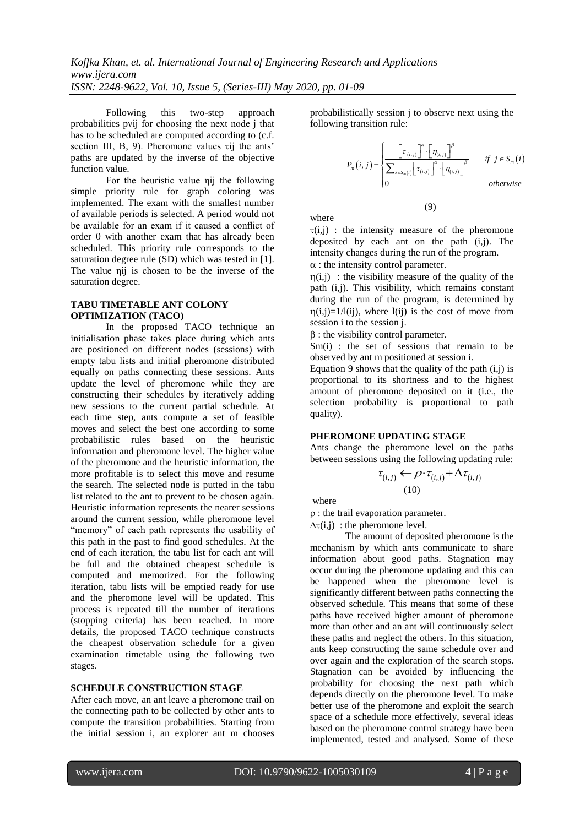Following this two-step approach probabilities pνij for choosing the next node j that has to be scheduled are computed according to (c.f. section III, B, 9). Pheromone values τij the ants' paths are updated by the inverse of the objective function value.

For the heuristic value ηij the following simple priority rule for graph coloring was implemented. The exam with the smallest number of available periods is selected. A period would not be available for an exam if it caused a conflict of order 0 with another exam that has already been scheduled. This priority rule corresponds to the saturation degree rule (SD) which was tested in [1]. The value ηij is chosen to be the inverse of the saturation degree.

### **TABU TIMETABLE ANT COLONY OPTIMIZATION (TACO)**

In the proposed TACO technique an initialisation phase takes place during which ants are positioned on different nodes (sessions) with empty tabu lists and initial pheromone distributed equally on paths connecting these sessions. Ants update the level of pheromone while they are constructing their schedules by iteratively adding new sessions to the current partial schedule. At each time step, ants compute a set of feasible moves and select the best one according to some probabilistic rules based on the heuristic information and pheromone level. The higher value of the pheromone and the heuristic information, the more profitable is to select this move and resume the search. The selected node is putted in the tabu list related to the ant to prevent to be chosen again. Heuristic information represents the nearer sessions around the current session, while pheromone level "memory" of each path represents the usability of this path in the past to find good schedules. At the end of each iteration, the tabu list for each ant will be full and the obtained cheapest schedule is computed and memorized. For the following iteration, tabu lists will be emptied ready for use and the pheromone level will be updated. This process is repeated till the number of iterations (stopping criteria) has been reached. In more details, the proposed TACO technique constructs the cheapest observation schedule for a given examination timetable using the following two stages.

### **SCHEDULE CONSTRUCTION STAGE**

After each move, an ant leave a pheromone trail on the connecting path to be collected by other ants to compute the transition probabilities. Starting from the initial session i, an explorer ant m chooses probabilistically session j to observe next using the following transition rule:

$$
P_m(i,j) = \begin{cases} \frac{\left[\tau_{(i,j)}\right]^\alpha \cdot \left[\eta_{(i,j)}\right]^\beta}{\sum_{k \in S_m(i)} \left[\tau_{(i,j)}\right]^\alpha \cdot \left[\eta_{(i,j)}\right]^\beta} & \text{if } j \in S_m(i) \\ 0 & \text{otherwise} \end{cases}
$$

(9)

where

 $\tau(i,j)$ : the intensity measure of the pheromone deposited by each ant on the path (i,j). The intensity changes during the run of the program.  $\alpha$ : the intensity control parameter.

 $\eta(i,j)$ : the visibility measure of the quality of the path (i,j). This visibility, which remains constant during the run of the program, is determined by  $\eta(i,j)=1/(ij)$ , where  $l(ij)$  is the cost of move from session i to the session j.

 $\beta$ : the visibility control parameter.

Sm(i) : the set of sessions that remain to be observed by ant m positioned at session i.

Equation 9 shows that the quality of the path  $(i,j)$  is proportional to its shortness and to the highest amount of pheromone deposited on it (i.e., the selection probability is proportional to path quality).

### **PHEROMONE UPDATING STAGE**

Ants change the pheromone level on the paths between sessions using the following updating rule:<br> $\tau_{(i,j)} \leftarrow \rho \cdot \tau_{(i,j)} + \Delta \tau_{(i,j)}$ 

$$
\tau_{(i,j)} \leftarrow \rho \cdot \tau_{(i,j)} + \Delta \tau_{(i,j)}
$$
\n<sup>(10)</sup>

where

 $\rho$ : the trail evaporation parameter.

 $\Delta \tau(i,j)$ : the pheromone level.

The amount of deposited pheromone is the mechanism by which ants communicate to share information about good paths. Stagnation may occur during the pheromone updating and this can be happened when the pheromone level is significantly different between paths connecting the observed schedule. This means that some of these paths have received higher amount of pheromone more than other and an ant will continuously select these paths and neglect the others. In this situation, ants keep constructing the same schedule over and over again and the exploration of the search stops. Stagnation can be avoided by influencing the probability for choosing the next path which depends directly on the pheromone level. To make better use of the pheromone and exploit the search space of a schedule more effectively, several ideas based on the pheromone control strategy have been implemented, tested and analysed. Some of these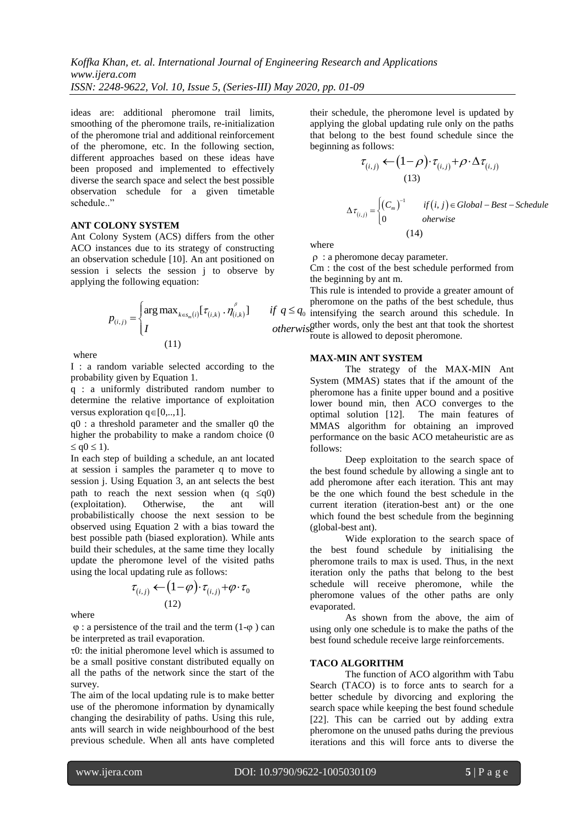*Koffka Khan, et. al. International Journal of Engineering Research and Applications www.ijera.com ISSN: 2248-9622, Vol. 10, Issue 5, (Series-III) May 2020, pp. 01-09*

ideas are: additional pheromone trail limits, smoothing of the pheromone trails, re-initialization of the pheromone trial and additional reinforcement of the pheromone, etc. In the following section, different approaches based on these ideas have been proposed and implemented to effectively diverse the search space and select the best possible observation schedule for a given timetable schedule.."

#### **ANT COLONY SYSTEM**

Ant Colony System (ACS) differs from the other ACO instances due to its strategy of constructing an observation schedule [10]. An ant positioned on session i selects the session j to observe by applying the following equation:

$$
p_{(i,j)} = \begin{cases} \arg \max_{k \in s_m(i)} [\tau_{(i,k)} \cdot \eta_{(i,k)}^\beta] & \text{if } q \le q_0 \text{ in } \\ I & \text{otherwise} \end{cases}
$$
\n
$$
(11)
$$

where

I : a random variable selected according to the probability given by Equation 1.

q : a uniformly distributed random number to determine the relative importance of exploitation versus exploration  $q \in [0,..,1]$ .

q0 : a threshold parameter and the smaller q0 the higher the probability to make a random choice  $(0)$  $\leq$   $a$  $0 \leq 1$ ).

In each step of building a schedule, an ant located at session i samples the parameter q to move to session j. Using Equation 3, an ant selects the best path to reach the next session when  $(q \leq q0)$ (exploitation). Otherwise, the ant will probabilistically choose the next session to be observed using Equation 2 with a bias toward the best possible path (biased exploration). While ants build their schedules, at the same time they locally update the pheromone level of the visited paths using the local updating rule as follows:  $\tau_{(i,j)} \leftarrow (1-\varphi) \cdot \tau_{(i,j)} + \varphi \cdot \tau_0$ 

where

 $\varphi$ : a persistence of the trail and the term  $(1-\varphi)$  can be interpreted as trail evaporation.

(12)

 $\tau$ 0: the initial pheromone level which is assumed to be a small positive constant distributed equally on all the paths of the network since the start of the survey.

The aim of the local updating rule is to make better use of the pheromone information by dynamically changing the desirability of paths. Using this rule, ants will search in wide neighbourhood of the best previous schedule. When all ants have completed

their schedule, the pheromone level is updated by applying the global updating rule only on the paths that belong to the best found schedule since the beginning as follows:

s follows:  
\n
$$
\tau_{(i,j)} \leftarrow (1-\rho) \cdot \tau_{(i,j)} + \rho \cdot \Delta \tau_{(i,j)}
$$
\n(13)

$$
\Delta \tau_{(i,j)} = \begin{cases} (C_m)^{-1} & \text{if } (i,j) \in Global-Best-Schedule \\ 0 & \text{otherwise} \end{cases}
$$
\n(14)

where

 $\rho$ : a pheromone decay parameter.

Cm : the cost of the best schedule performed from the beginning by ant m.

This rule is intended to provide a greater amount of<br>  $\iint_{(i)} [\tau_{(i,k)} \cdot \eta_{(i,k)}^\beta]$  if  $q \le q_0$  intensifying the search around this schedule. In This rule is intended to provide a greater amount of pheromone on the paths of the best schedule, thus gther words, only the best ant that took the shortest route is allowed to deposit pheromone.

#### **MAX-MIN ANT SYSTEM**

The strategy of the MAX-MIN Ant System (MMAS) states that if the amount of the pheromone has a finite upper bound and a positive lower bound min, then ACO converges to the optimal solution [\[12\].](#page-7-8) The main features of MMAS algorithm for obtaining an improved performance on the basic ACO metaheuristic are as follows:

Deep exploitation to the search space of the best found schedule by allowing a single ant to add pheromone after each iteration. This ant may be the one which found the best schedule in the current iteration (iteration-best ant) or the one which found the best schedule from the beginning (global-best ant).

Wide exploration to the search space of the best found schedule by initialising the pheromone trails to max is used. Thus, in the next iteration only the paths that belong to the best schedule will receive pheromone, while the pheromone values of the other paths are only evaporated.

As shown from the above, the aim of using only one schedule is to make the paths of the best found schedule receive large reinforcements.

#### **TACO ALGORITHM**

The function of ACO algorithm with Tabu Search (TACO) is to force ants to search for a better schedule by divorcing and exploring the search space while keeping the best found schedule [\[22\].](#page-7-0) This can be carried out by adding extra pheromone on the unused paths during the previous iterations and this will force ants to diverse the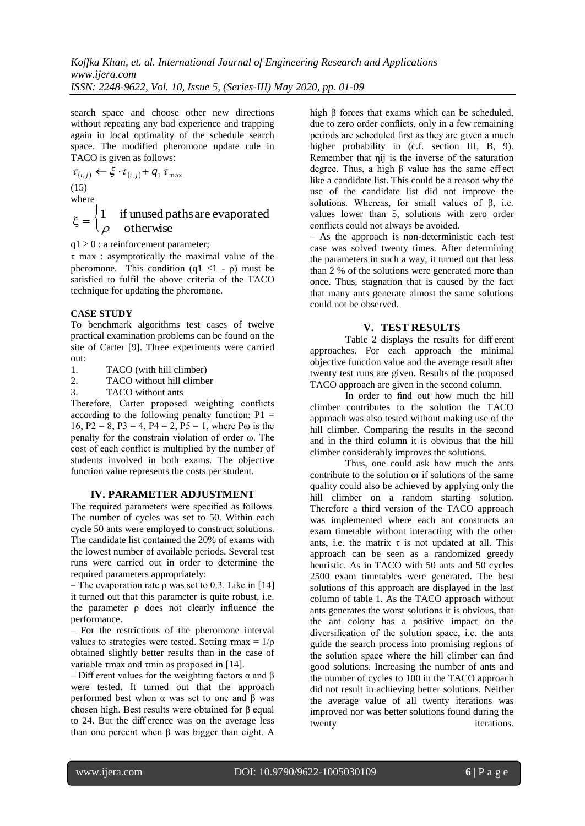search space and choose other new directions without repeating any bad experience and trapping again in local optimality of the schedule search space. The modified pheromone update rule in TACO is given as follows:

$$
\tau_{(i,j)} \leftarrow \xi \cdot \tau_{(i,j)} + q_1 \tau_{\text{max}}
$$
\n(15)

where

 $\xi = \begin{cases} 1 & \text{if unused paths are evaporated} \\ \rho & \text{otherwise} \end{cases}$ 

 $q1 \geq 0$ : a reinforcement parameter;

 $\tau$  max : asymptotically the maximal value of the pheromone. This condition (q1  $\leq$ 1 - ρ) must be satisfied to fulfil the above criteria of the TACO technique for updating the pheromone.

## **CASE STUDY**

To benchmark algorithms test cases of twelve practical examination problems can be found on the site of Carter [\[9\].](#page-6-1) Three experiments were carried out:

1. TACO (with hill climber)

2. TACO without hill climber

3. TACO without ants

Therefore, Carter proposed weighting conflicts according to the following penalty function:  $P1 =$ 16, P2 = 8, P3 = 4, P4 = 2, P5 = 1, where P $\omega$  is the penalty for the constrain violation of order ω. The cost of each conflict is multiplied by the number of students involved in both exams. The objective function value represents the costs per student.

## **IV. PARAMETER ADJUSTMENT**

The required parameters were specified as follows. The number of cycles was set to 50. Within each cycle 50 ants were employed to construct solutions. The candidate list contained the 20% of exams with the lowest number of available periods. Several test runs were carried out in order to determine the required parameters appropriately:

– The evaporation rate  $\rho$  was set to 0.3. Like in [\[14\]](#page-7-7) it turned out that this parameter is quite robust, i.e. the parameter ρ does not clearly influence the performance.

– For the restrictions of the pheromone interval values to strategies were tested. Setting  $\tau$ max =  $1/\rho$ obtained slightly better results than in the case of variable τmax and τmin as proposed i[n \[14\].](#page-7-7)

– Diff erent values for the weighting factors α and β were tested. It turned out that the approach performed best when α was set to one and β was chosen high. Best results were obtained for β equal to 24. But the diff erence was on the average less than one percent when β was bigger than eight. A high β forces that exams which can be scheduled, due to zero order conflicts, only in a few remaining periods are scheduled first as they are given a much higher probability in (c.f. section III, B, 9). Remember that nij is the inverse of the saturation degree. Thus, a high  $β$  value has the same effect like a candidate list. This could be a reason why the use of the candidate list did not improve the solutions. Whereas, for small values of  $\beta$ , i.e. values lower than 5, solutions with zero order conflicts could not always be avoided.

– As the approach is non-deterministic each test case was solved twenty times. After determining the parameters in such a way, it turned out that less than 2 % of the solutions were generated more than once. Thus, stagnation that is caused by the fact that many ants generate almost the same solutions could not be observed.

## **V. TEST RESULTS**

Table 2 displays the results for diff erent approaches. For each approach the minimal objective function value and the average result after twenty test runs are given. Results of the proposed TACO approach are given in the second column.

In order to find out how much the hill climber contributes to the solution the TACO approach was also tested without making use of the hill climber. Comparing the results in the second and in the third column it is obvious that the hill climber considerably improves the solutions.

Thus, one could ask how much the ants contribute to the solution or if solutions of the same quality could also be achieved by applying only the hill climber on a random starting solution. Therefore a third version of the TACO approach was implemented where each ant constructs an exam timetable without interacting with the other ants, i.e. the matrix  $\tau$  is not updated at all. This approach can be seen as a randomized greedy heuristic. As in TACO with 50 ants and 50 cycles 2500 exam timetables were generated. The best solutions of this approach are displayed in the last column of table 1. As the TACO approach without ants generates the worst solutions it is obvious, that the ant colony has a positive impact on the diversification of the solution space, i.e. the ants guide the search process into promising regions of the solution space where the hill climber can find good solutions. Increasing the number of ants and the number of cycles to 100 in the TACO approach did not result in achieving better solutions. Neither the average value of all twenty iterations was improved nor was better solutions found during the twenty iterations.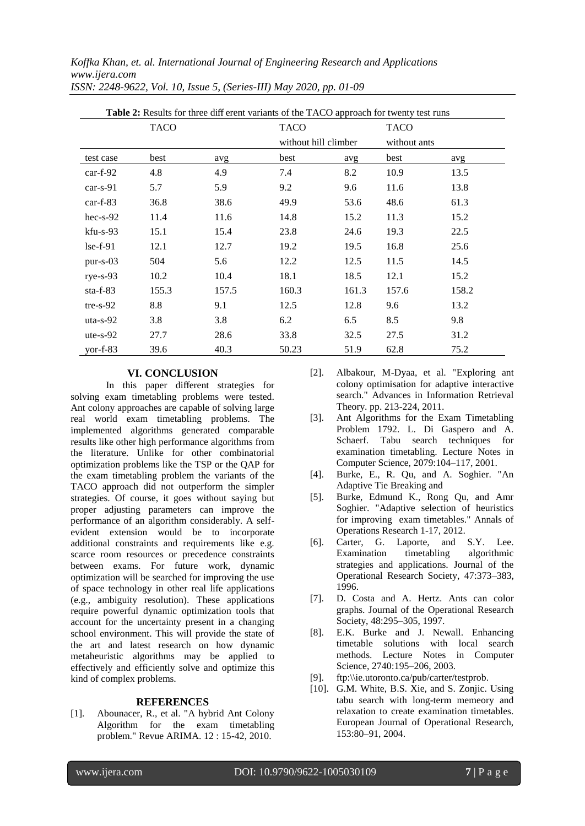*Koffka Khan, et. al. International Journal of Engineering Research and Applications www.ijera.com*

| Table 2: Results for three different variants of the TACO approach for twenty test runs |             |       |                      |       |              |       |  |
|-----------------------------------------------------------------------------------------|-------------|-------|----------------------|-------|--------------|-------|--|
|                                                                                         | <b>TACO</b> |       | <b>TACO</b>          |       | <b>TACO</b>  |       |  |
|                                                                                         |             |       | without hill climber |       | without ants |       |  |
| test case                                                                               | best        | avg   | best                 | avg   | best         | avg   |  |
| $car-f-92$                                                                              | 4.8         | 4.9   | 7.4                  | 8.2   | 10.9         | 13.5  |  |
| $car-s-91$                                                                              | 5.7         | 5.9   | 9.2                  | 9.6   | 11.6         | 13.8  |  |
| $car-f-83$                                                                              | 36.8        | 38.6  | 49.9                 | 53.6  | 48.6         | 61.3  |  |
| $hec-s-92$                                                                              | 11.4        | 11.6  | 14.8                 | 15.2  | 11.3         | 15.2  |  |
| $kfu-s-93$                                                                              | 15.1        | 15.4  | 23.8                 | 24.6  | 19.3         | 22.5  |  |
| $1se-f-91$                                                                              | 12.1        | 12.7  | 19.2                 | 19.5  | 16.8         | 25.6  |  |
| $pur-s-03$                                                                              | 504         | 5.6   | 12.2                 | 12.5  | 11.5         | 14.5  |  |
| $rye-s-93$                                                                              | 10.2        | 10.4  | 18.1                 | 18.5  | 12.1         | 15.2  |  |
| $sta-f-83$                                                                              | 155.3       | 157.5 | 160.3                | 161.3 | 157.6        | 158.2 |  |
| $tre-s-92$                                                                              | 8.8         | 9.1   | 12.5                 | 12.8  | 9.6          | 13.2  |  |
| $uta-s-92$                                                                              | 3.8         | 3.8   | 6.2                  | 6.5   | 8.5          | 9.8   |  |
| $ute-s-92$                                                                              | 27.7        | 28.6  | 33.8                 | 32.5  | 27.5         | 31.2  |  |
| $\gamma$ or-f-83                                                                        | 39.6        | 40.3  | 50.23                | 51.9  | 62.8         | 75.2  |  |

*ISSN: 2248-9622, Vol. 10, Issue 5, (Series-III) May 2020, pp. 01-09*

## **VI. CONCLUSION**

In this paper different strategies for solving exam timetabling problems were tested. Ant colony approaches are capable of solving large real world exam timetabling problems. The implemented algorithms generated comparable results like other high performance algorithms from the literature. Unlike for other combinatorial optimization problems like the TSP or the QAP for the exam timetabling problem the variants of the TACO approach did not outperform the simpler strategies. Of course, it goes without saying but proper adjusting parameters can improve the performance of an algorithm considerably. A selfevident extension would be to incorporate additional constraints and requirements like e.g. scarce room resources or precedence constraints between exams. For future work, dynamic optimization will be searched for improving the use of space technology in other real life applications (e.g., ambiguity resolution). These applications require powerful dynamic optimization tools that account for the uncertainty present in a changing school environment. This will provide the state of the art and latest research on how dynamic metaheuristic algorithms may be applied to effectively and efficiently solve and optimize this kind of complex problems.

## **REFERENCES**

[1]. Abounacer, R., et al. "A hybrid Ant Colony Algorithm for the exam timetabling problem." Revue ARIMA. 12 : 15-42, 2010.

- [2]. Albakour, M-Dyaa, et al. "Exploring ant colony optimisation for adaptive interactive search." Advances in Information Retrieval Theory. pp. 213-224, 2011.
- [3]. Ant Algorithms for the Exam Timetabling Problem 1792. L. Di Gaspero and A. Schaerf. Tabu search techniques for examination timetabling. Lecture Notes in Computer Science, 2079:104–117, 2001.
- [4]. Burke, E., R. Qu, and A. Soghier. "An Adaptive Tie Breaking and
- [5]. Burke, Edmund K., Rong Qu, and Amr Soghier. "Adaptive selection of heuristics for improving exam timetables." Annals of Operations Research 1-17, 2012.
- [6]. Carter, G. Laporte, and S.Y. Lee. Examination timetabling algorithmic strategies and applications. Journal of the Operational Research Society, 47:373–383, 1996.
- <span id="page-6-0"></span>[7]. D. Costa and A. Hertz. Ants can color graphs. Journal of the Operational Research Society, 48:295–305, 1997.
- [8]. E.K. Burke and J. Newall. Enhancing timetable solutions with local search methods. Lecture Notes in Computer Science, 2740:195–206, 2003.
- <span id="page-6-1"></span>[9]. ftp:\\ie.utoronto.ca/pub/carter/testprob.
- [10]. G.M. White, B.S. Xie, and S. Zonjic. Using tabu search with long-term memeory and relaxation to create examination timetables. European Journal of Operational Research, 153:80–91, 2004.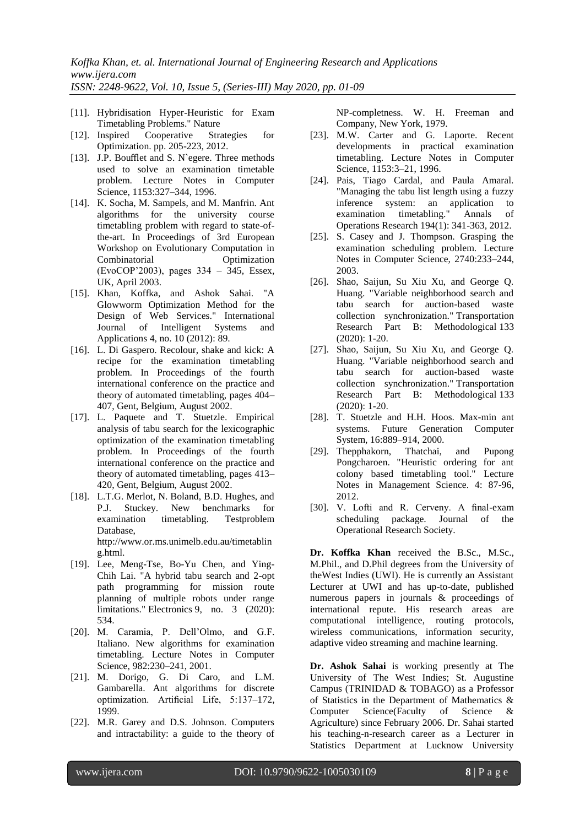- [11]. Hybridisation Hyper-Heuristic for Exam Timetabling Problems." Nature
- <span id="page-7-8"></span>[12]. Inspired Cooperative Strategies for Optimization. pp. 205-223, 2012.
- [13]. J.P. Boufflet and S. N`egere. Three methods used to solve an examination timetable problem. Lecture Notes in Computer Science, 1153:327–344, 1996.
- <span id="page-7-7"></span>[14]. K. Socha, M. Sampels, and M. Manfrin. Ant algorithms for the university course timetabling problem with regard to state-ofthe-art. In Proceedings of 3rd European Workshop on Evolutionary Computation in Combinatorial Optimization (EvoCOP'2003), pages 334 – 345, Essex, UK, April 2003.
- <span id="page-7-2"></span>[15]. Khan, Koffka, and Ashok Sahai. "A Glowworm Optimization Method for the Design of Web Services." International Journal of Intelligent Systems and Applications 4, no. 10 (2012): 89.
- [16]. L. Di Gaspero. Recolour, shake and kick: A recipe for the examination timetabling problem. In Proceedings of the fourth international conference on the practice and theory of automated timetabling, pages 404– 407, Gent, Belgium, August 2002.
- [17]. L. Paquete and T. Stuetzle. Empirical analysis of tabu search for the lexicographic optimization of the examination timetabling problem. In Proceedings of the fourth international conference on the practice and theory of automated timetabling, pages 413– 420, Gent, Belgium, August 2002.
- [18]. L.T.G. Merlot, N. Boland, B.D. Hughes, and P.J. Stuckey. New benchmarks for examination timetabling. Testproblem Database, http://www.or.ms.unimelb.edu.au/timetablin g.html.
- <span id="page-7-5"></span>[19]. Lee, Meng-Tse, Bo-Yu Chen, and Ying-Chih Lai. "A hybrid tabu search and 2-opt path programming for mission route planning of multiple robots under range limitations." Electronics 9, no. 3 (2020): 534.
- [20]. M. Caramia, P. Dell'Olmo, and G.F. Italiano. New algorithms for examination timetabling. Lecture Notes in Computer Science, 982:230–241, 2001.
- <span id="page-7-6"></span>[21]. M. Dorigo, G. Di Caro, and L.M. Gambarella. Ant algorithms for discrete optimization. Artificial Life, 5:137–172, 1999.
- <span id="page-7-0"></span>[22]. M.R. Garey and D.S. Johnson. Computers and intractability: a guide to the theory of

NP-completness. W. H. Freeman and Company, New York, 1979.

- [23]. M.W. Carter and G. Laporte. Recent developments in practical examination timetabling. Lecture Notes in Computer Science, 1153:3–21, 1996.
- [24]. Pais, Tiago Cardal, and Paula Amaral. "Managing the tabu list length using a fuzzy inference system: an application to examination timetabling." Annals of Operations Research 194(1): 341-363, 2012.
- [25]. S. Casey and J. Thompson. Grasping the examination scheduling problem. Lecture Notes in Computer Science, 2740:233–244, 2003.
- <span id="page-7-3"></span>[26]. Shao, Saijun, Su Xiu Xu, and George Q. Huang. "Variable neighborhood search and tabu search for auction-based waste collection synchronization." Transportation Research Part B: Methodological 133 (2020): 1-20.
- <span id="page-7-4"></span>[27]. Shao, Saijun, Su Xiu Xu, and George Q. Huang. "Variable neighborhood search and tabu search for auction-based waste collection synchronization." Transportation Research Part B: Methodological 133 (2020): 1-20.
- [28]. T. Stuetzle and H.H. Hoos. Max-min ant systems. Future Generation Computer System, 16:889–914, 2000.
- [29]. Thepphakorn, Thatchai, and Pupong Pongcharoen. "Heuristic ordering for ant colony based timetabling tool." Lecture Notes in Management Science. 4: 87-96, 2012.
- <span id="page-7-1"></span>[30]. V. Lofti and R. Cerveny. A final-exam scheduling package. Journal of the Operational Research Society.

**Dr. Koffka Khan** received the B.Sc., M.Sc., M.Phil., and D.Phil degrees from the University of theWest Indies (UWI). He is currently an Assistant Lecturer at UWI and has up-to-date, published numerous papers in journals & proceedings of international repute. His research areas are computational intelligence, routing protocols, wireless communications, information security, adaptive video streaming and machine learning.

**Dr. Ashok Sahai** is working presently at The University of The West Indies; St. Augustine Campus (TRINIDAD & TOBAGO) as a Professor of Statistics in the Department of Mathematics & Computer Science(Faculty of Science & Agriculture) since February 2006. Dr. Sahai started his teaching-n-research career as a Lecturer in Statistics Department at Lucknow University